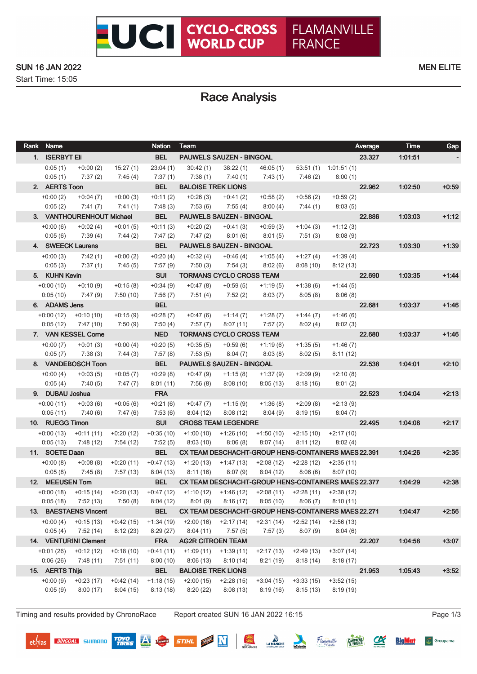Start Time: 15:05

# Race Analysis

| Rank Name<br><b>Nation</b> |                           |                         |                         | Team                                                                         |                         |                         |                        |                         | Average | <b>Time</b> | Gap     |
|----------------------------|---------------------------|-------------------------|-------------------------|------------------------------------------------------------------------------|-------------------------|-------------------------|------------------------|-------------------------|---------|-------------|---------|
| 1. ISERBYT Eli             |                           |                         | <b>BEL</b>              | PAUWELS SAUZEN - BINGOAL                                                     |                         |                         |                        |                         | 23.327  | 1.01.51     |         |
| 0:05(1)                    | $+0:00(2)$                | 15:27(1)                | 23:04(1)                | 30:42(1)                                                                     | 38:22(1)                | 46:05 (1)               |                        | $53:51(1)$ 1:01:51(1)   |         |             |         |
| 0:05(1)                    | 7:37(2)                   | 7:45(4)                 | 7:37(1)                 | 7:38(1)                                                                      | 7:40(1)                 | 7:43 (1)                | 7:46 (2)               | 8:00(1)                 |         |             |         |
| 2. AERTS Toon              |                           |                         | <b>BEL</b>              | <b>BALOISE TREK LIONS</b>                                                    |                         |                         |                        |                         | 22.962  | 1:02:50     | $+0:59$ |
| $+0:00(2)$                 | $+0:04(7)$                | $+0:00(3)$              | $+0:11(2)$              | $+0.26(3)$                                                                   | $+0:41(2)$              | $+0.58(2)$              | $+0.56(2)$             | $+0:59(2)$              |         |             |         |
| 0:05(2)                    | 7:41 (7)                  | 7:41 (1)                | 7:48 (3)                | 7:53 (6)                                                                     | 7:55 (4)                | 8:00(4)                 | 7:44 (1)               | 8:03(5)                 |         |             |         |
|                            | 3. VANTHOURENHOUT Michael |                         | <b>BEL</b>              | <b>PAUWELS SAUZEN - BINGOAL</b>                                              |                         |                         |                        |                         | 22.886  | 1:03:03     | $+1:12$ |
| $+0:00(6)$                 | $+0:02(4)$                | $+0:01(5)$              | $+0:11(3)$              | $+0:20(2)$                                                                   | $+0:41(3)$              | $+0.59(3)$              | $+1:04(3)$             | $+1:12(3)$              |         |             |         |
| 0:05(6)                    | 7:39 (4)                  | 7:44 (2)                | 7:47 (2)                | 7:47(2)                                                                      | 8:01(6)                 | 8:01 (5)                | 7:51(3)                | 8:08(9)                 |         |             |         |
|                            | 4. SWEECK Laurens         |                         | <b>BEL</b>              | <b>PAUWELS SAUZEN - BINGOAL</b>                                              |                         |                         |                        |                         | 22.723  | 1.03.30     | $+1:39$ |
| $+0:00(3)$                 | 7:42 (1)                  | $+0:00(2)$              | $+0:20(4)$              | $+0.32(4)$                                                                   | $+0.46(4)$              | $+1:05(4)$              | $+1:27(4)$             | $+1:39(4)$              |         |             |         |
| 0:05(3)                    | 7:37(1)                   | 7:45 (5)                | 7:57 (9)                | 7:50(3)                                                                      | 7:54(3)                 | 8:02(6)                 | 8:08(10)               | 8:12(13)                |         |             |         |
| 5. KUHN Kevin              |                           |                         | <b>SUI</b>              | <b>TORMANS CYCLO CROSS TEAM</b>                                              |                         |                         |                        |                         | 22.690  | 1:03:35     | $+1.44$ |
| $+0.00(10)$                | $+0:10(9)$                | $+0:15(8)$              | $+0:34(9)$              | $+0:47(8)$                                                                   | $+0.59(5)$              | $+1:19(5)$              | $+1:38(6)$             | $+1:44(5)$              |         |             |         |
| 0:05(10)                   | 7:47 (9)                  | 7:50(10)                | 7:56 (7)                | 7:51 (4)                                                                     | 7:52 (2)                | 8:03(7)                 | 8:05(8)                | 8:06(8)                 |         |             |         |
| 6. ADAMS Jens              |                           |                         | <b>BEL</b>              |                                                                              |                         |                         |                        |                         | 22.681  | 1.03:37     | $+1:46$ |
|                            | $+0.00(12)$ $+0.10(10)$   | $+0:15(9)$              | $+0.28(7)$              | $+0:47(6)$                                                                   | +1:14 (7)               | $+1:28(7)$              | $+1:44(7)$             | $+1:46(6)$              |         |             |         |
| 0:05(12)                   | 7:47 (10)                 | 7:50 (9)                | 7:50(4)                 | 7:57(7)                                                                      | 8:07(11)                | 7:57(2)                 | 8:02(4)                | 8:02(3)                 |         |             |         |
|                            | 7. VAN KESSEL Corne       |                         | <b>NED</b>              | <b>TORMANS CYCLO CROSS TEAM</b>                                              |                         |                         |                        |                         | 22.680  | 1:03:37     | $+1:46$ |
| $+0:00(7)$                 | $+0:01(3)$                | $+0:00(4)$              | $+0.20(5)$              | $+0.35(5)$                                                                   | $+0.59(6)$              | $+1:19(6)$              | $+1:35(5)$             | $+1:46(7)$              |         |             |         |
| 0:05(7)                    | 7:38(3)                   | 7:44(3)                 | 7:57 (8)                | 7:53(5)                                                                      | 8:04(7)                 | 8:03(8)                 | 8:02(5)                | 8:11(12)                |         |             |         |
|                            | 8. VANDEBOSCH Toon        |                         | <b>BEL</b>              | <b>PAUWELS SAUZEN - BINGOAL</b><br>22.538                                    |                         |                         |                        |                         |         | 1:04:01     | $+2:10$ |
| $+0:00(4)$                 | $+0:03(5)$                | $+0:05(7)$              | $+0.29(8)$              | $+0:47(9)$                                                                   | $+1:15(8)$              | $+1:37(9)$              | $+2:09(9)$             | $+2:10(8)$              |         |             |         |
| 0:05(4)                    | 7:40(5)                   | 7:47 (7)                | 8:01(11)                | 7:56(8)                                                                      | 8:08(10)                | 8:05(13)                | 8:18(16)               | 8:01(2)                 |         |             |         |
| 9. DUBAU Joshua            |                           |                         | <b>FRA</b>              |                                                                              |                         |                         |                        |                         | 22.523  | 1.04.04     | $+2:13$ |
| $+0:00(11)$                | $+0:03(6)$                | $+0:05(6)$              | $+0:21(6)$              | $+0:47(7)$                                                                   | $+1:15(9)$              | $+1:36(8)$              | $+2:09(8)$             | $+2:13(9)$              |         |             |         |
| 0:05(11)                   | 7:40 (6)                  | 7:47 (6)                | 7:53(6)<br><b>SUI</b>   | 8:04(12)                                                                     | 8:08(12)                | 8:04 (9)                | 8:19(15)               | 8:04(7)                 |         |             |         |
|                            | 10. RUEGG Timon           |                         |                         | <b>CROSS TEAM LEGENDRE</b><br>$+1:50(10)$ $+2:15(10)$ $+2:17(10)$            |                         |                         |                        |                         | 22.495  | 1.04.08     | $+2:17$ |
|                            | $+0:00(13)$ $+0:11(11)$   | $+0:20(12)$             | $+0.35(10)$             |                                                                              | $+1:00(10)$ $+1:26(10)$ |                         |                        |                         |         |             |         |
| 0:05(13)                   | 7:48 (12)                 | 7:54 (12)               | 7:52(5)                 | 8:03(10)                                                                     | 8:06(8)                 | 8:07(14)                | 8:11(12)               | 8:02(4)                 |         |             |         |
| 11. SOETE Daan             |                           |                         | <b>BEL</b>              | CX TEAM DESCHACHT-GROUP HENS-CONTAINERS MAES 22.391                          |                         |                         |                        |                         |         | 1.04.26     | $+2:35$ |
| $+0:00(8)$<br>0:05(8)      | $+0.08(8)$<br>7:45(8)     | $+0:20(11)$<br>7:57(13) | $+0:47(13)$<br>8:04(13) | $+1:20(13)$<br>8:11(16)                                                      | +1:47 (13)<br>8:07(9)   | $+2:08(12)$<br>8:04(12) | $+2:28(12)$<br>8:06(6) | $+2:35(11)$<br>8:07(10) |         |             |         |
| 12. MEEUSEN Tom            |                           |                         | <b>BEL</b>              | CX TEAM DESCHACHT-GROUP HENS-CONTAINERS MAES 22.377                          |                         |                         |                        |                         |         | 1:04:29     | $+2:38$ |
|                            | $+0.00(18)$ $+0.15(14)$   |                         |                         | +0:20 (13) +0:47 (12) +1:10 (12) +1:46 (12) +2:08 (11) +2:28 (11) +2:38 (12) |                         |                         |                        |                         |         |             |         |
| 0:05(18)                   | 7:52 (13)                 | 7:50(8)                 | 8:04(12)                |                                                                              | $8:01(9)$ $8:16(17)$    | 8:05(10)                | 8:06(7)                | 8:10(11)                |         |             |         |
|                            | 13. BAESTAENS Vincent     |                         | <b>BEL</b>              | CX TEAM DESCHACHT-GROUP HENS-CONTAINERS MAES 22.271                          |                         |                         |                        |                         |         | 1.04.47     | $+2:56$ |
| $+0:00(4)$                 | $+0:15(13)$               | $+0.42(15)$             | $+1:34(19)$             | $+2:00(16)$                                                                  | $+2:17(14)$             | $+2:31(14)$             | $+2:52(14)$            | $+2:56(13)$             |         |             |         |
| 0:05(4)                    | 7:52(14)                  | 8:12(23)                | 8:29(27)                | 8:04(11)                                                                     | 7:57(5)                 | 7:57(3)                 | 8:07(9)                | 8:04(6)                 |         |             |         |
|                            | 14. VENTURINI Clement     |                         | <b>FRA</b>              | <b>AG2R CITROEN TEAM</b>                                                     |                         |                         |                        |                         | 22.207  | 1.04:58     | $+3:07$ |
| $+0:01(26)$                | $+0:12(12)$               | $+0:18(10)$             | $+0:41(11)$             | $+1:09(11)$                                                                  | $+1:39(11)$             | $+2:17(13)$             | $+2:49(13)$            | $+3:07(14)$             |         |             |         |
| 0:06(26)                   | 7:48 (11)                 | 7:51(11)                | 8:00(10)                | 8:06(13)                                                                     | 8:10(14)                | 8:21(19)                | 8:18(14)               | 8:18(17)                |         |             |         |
| 15. AERTS Thijs            |                           |                         | <b>BEL</b>              | <b>BALOISE TREK LIONS</b>                                                    |                         |                         |                        |                         | 21.953  | 1.05:43     | $+3:52$ |
| $+0.00(9)$                 | $+0:23(17)$               | $+0:42(14)$             | $+1:18(15)$             | $+2:00(15)$                                                                  | $+2:28(15)$             | $+3:04(15)$             | $+3:33(15)$            | $+3:52(15)$             |         |             |         |
| 0:05(9)                    | 8:00(17)                  | 8:04(15)                | 8:13(18)                | 8:20(22)                                                                     | 8:08(13)                | 8:19(16)                | 8:15(13)               | 8:19(19)                |         |             |         |
|                            |                           |                         |                         |                                                                              |                         |                         |                        |                         |         |             |         |

Timing and results provided by ChronoRace Report created SUN 16 JAN 2022 16:15 Page 1/3

**TOYO**<br>TIRES

Pauwels

深

STIHL **N** 

LA MANCHE

Hamanville

 $\alpha$ 

**CAMPAGNE** 

**BigMat** 

Groupama

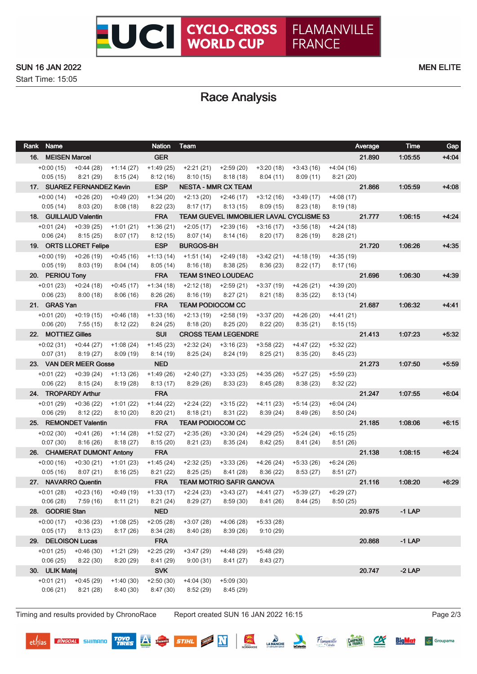

Start Time: 15:05

# Race Analysis

| Rank Name               |                            |                         | <b>Nation</b>           | Team                                                                                               |                          |                         |                         |                         | Average | <b>Time</b> | Gap     |
|-------------------------|----------------------------|-------------------------|-------------------------|----------------------------------------------------------------------------------------------------|--------------------------|-------------------------|-------------------------|-------------------------|---------|-------------|---------|
| 16. MEISEN Marcel       |                            |                         | <b>GER</b>              |                                                                                                    |                          |                         |                         |                         | 21.890  | 1.05:55     | $+4:04$ |
| $+0.00(15)$             | +0:44 (28)                 | $+1:14(27)$             | $+1:49(25)$             | $+2:21(21)$                                                                                        | +2:59 (20)               | +3:20 (18)              | +3:43 (16)              | +4:04 (16)              |         |             |         |
| 0:05(15)                | 8:21(29)                   | 8:15(24)                | 8:12(16)                | 8:10(15)                                                                                           | 8:18(18)                 | 8:04(11)                | 8:09(11)                | 8:21(20)                |         |             |         |
|                         | 17. SUAREZ FERNANDEZ Kevin |                         | <b>ESP</b>              | <b>NESTA - MMR CX TEAM</b>                                                                         |                          |                         |                         |                         | 21.866  | 1:05:59     | $+4:08$ |
| $+0:00(14)$             | $+0.26(20)$                | $+0.49(20)$             | $+1:34(20)$             | $+2:13(20)$                                                                                        | $+2:46(17)$              | $+3:12(16)$             | $+3:49(17)$             | $+4:08(17)$             |         |             |         |
| 0:05(14)                | 8:03(20)                   | 8:08(18)                | 8:22(23)                | 8:17(17)                                                                                           | 8:13(15)                 | 8:09(15)                | 8:23(18)                | 8:19(18)                |         |             |         |
|                         | 18. GUILLAUD Valentin      |                         | <b>FRA</b>              | TEAM GUEVEL IMMOBILIER LAVAL CYCLISME 53                                                           |                          |                         |                         |                         | 21.777  | 1:06:15     | $+4.24$ |
| $+0:01(24)$             | $+0:39(25)$                | $+1:01(21)$             | $+1:36(21)$             | $+2:05(17)$                                                                                        | $+2:39(16)$              | $+3:16(17)$             | +3:56 (18)              | $+4:24(18)$             |         |             |         |
| 0:06(24)                | 8:15(25)                   | 8:07(17)                | 8:12(15)                | 8:07(14)                                                                                           | 8:14(16)                 | 8:20(17)                | 8:26(19)                | 8:28(21)                |         |             |         |
|                         | 19. ORTS LLORET Felipe     |                         | <b>ESP</b>              | <b>BURGOS-BH</b>                                                                                   |                          |                         |                         |                         | 21.720  | 1:06:26     | $+4.35$ |
|                         | $+0:00(19)$ $+0:26(19)$    | $+0.45(16)$             | $+1:13(14)$             |                                                                                                    | $+1:51(14)$ $+2:49(18)$  |                         | $+3:42(21)$ $+4:18(19)$ | $+4:35(19)$             |         |             |         |
| 0:05(19)                | 8:03(19)                   | 8:04(14)                | 8:05(14)                | 8:16(18)                                                                                           | 8:38(25)                 | 8:36(23)                | 8:22(17)                | 8:17(16)                |         |             |         |
| 20. PERIOU Tony         |                            |                         | <b>FRA</b>              | <b>TEAM S1NEO LOUDEAC</b>                                                                          |                          |                         |                         |                         | 21.696  | 1:06:30     | $+4.39$ |
|                         | $+0:01(23)$ $+0:24(18)$    | $+0.45(17)$             | $+1:34(18)$             | $+2:12(18)$                                                                                        | $+2:59(21)$              | +3:37 (19)              | +4:26 (21)              | $+4:39(20)$             |         |             |         |
| 0:06(23)                | 8:00(18)                   | 8:06 (16)               | 8:26(26)                | 8:16(19)                                                                                           | 8:27 (21)                | 8:21(18)                | 8:35 (22)               | 8:13 (14)               |         |             |         |
| 21. GRAS Yan            |                            |                         | <b>FRA</b>              | <b>TEAM PODIOCOM CC</b>                                                                            |                          |                         |                         |                         | 21.687  | 1:06:32     | $+4:41$ |
| $+0:01(20)$             | $+0:19(15)$                | $+0.46(18)$             | $+1:33(16)$             | $+2:13(19)$                                                                                        | $+2:58(19)$              | $+3:37(20)$             | $+4:26(20)$             | $+4:41(21)$             |         |             |         |
| 0:06(20)                | 7:55 (15)                  | 8:12(22)                | 8:24(25)                | 8:18(20)                                                                                           | 8:25(20)                 | 8:22(20)                | 8:35 (21)               | 8:15(15)                |         |             |         |
| 22. MOTTIEZ Gilles      |                            |                         | <b>SUI</b>              | <b>CROSS TEAM LEGENDRE</b>                                                                         |                          |                         |                         |                         | 21.413  | 1:07:23     | $+5:32$ |
|                         | $+0.02(31)$ $+0.44(27)$    | $+1:08(24)$             | $+1:45(23)$             | $+2:32(24)$                                                                                        | +3:16 (23)               | +3:58 (22)              | +4:47 (22)              | $+5:32(22)$             |         |             |         |
| 0:07(31)                | 8:19(27)                   | 8:09(19)                | 8:14(19)                | 8:25(24)                                                                                           | 8:24 (19)                | 8:25 (21)               | 8:35 (20)               | 8:45(23)                |         | 1:07:50     |         |
|                         | 23. VAN DER MEER Gosse     |                         | <b>NED</b>              |                                                                                                    |                          |                         |                         |                         | 21.273  |             | $+5:59$ |
| $+0:01(22)$<br>0:06(22) | $+0.39(24)$<br>8:15(24)    | $+1:13(26)$<br>8:19(28) | $+1:49(26)$<br>8:13(17) | +2:40 (27)<br>8:29(26)                                                                             | $+3:33(25)$<br>8:33 (23) | +4:35 (26)<br>8:45 (28) | +5:27 (25)<br>8:38(23)  | $+5:59(23)$<br>8:32(22) |         |             |         |
| 24. TROPARDY Arthur     |                            |                         | <b>FRA</b>              |                                                                                                    |                          |                         |                         |                         | 21.247  | 1:07:55     | $+6:04$ |
| $+0:01(29)$             | $+0:36(22)$                | $+1:01(22)$             | $+1:44(22)$             | $+2:24(22)$                                                                                        | $+3:15(22)$              | $+4:11(23)$             | +5:14 (23)              | $+6:04(24)$             |         |             |         |
| 0:06(29)                | 8:12(22)                   | 8:10(20)                | 8:20(21)                | 8:18(21)                                                                                           | 8:31(22)                 | 8:39(24)                | 8:49(26)                | 8:50(24)                |         |             |         |
|                         | 25. REMONDET Valentin      |                         | <b>FRA</b>              | <b>TEAM PODIOCOM CC</b>                                                                            |                          |                         |                         |                         | 21.185  | 1:08:06     | $+6:15$ |
| $+0.02(30)$             | +0:41 (26)                 | $+1:14(28)$             | $+1:52(27)$             | $+2:35(26)$                                                                                        | $+3:30(24)$              |                         | $+4:29(25)$ $+5:24(24)$ | $+6:15(25)$             |         |             |         |
| 0:07(30)                | 8:16(26)                   | 8:18(27)                | 8:15(20)                | 8:21(23)                                                                                           | 8:35(24)                 | 8:42(25)                | 8:41 (24)               | 8:51(26)                |         |             |         |
|                         | 26. CHAMERAT DUMONT Antony |                         | <b>FRA</b>              |                                                                                                    |                          |                         |                         |                         | 21.138  | 1:08:15     | $+6.24$ |
|                         | $+0:00(16)$ $+0:30(21)$    | $+1:01(23)$             | $+1:45(24)$             | +2:32 (25)                                                                                         | $+3:33(26)$              | +4:26 (24)              | +5:33 (26)              | $+6:24(26)$             |         |             |         |
| 0:05(16)                | 8:07(21)                   | 8:16(25)                | 8:21(22)                | 8:25(25)                                                                                           | 8:41(28)                 | 8:36(22)                | 8:53(27)                | 8:51(27)                |         |             |         |
| 27. NAVARRO Quentin     |                            |                         | <b>FRA</b>              | <b>TEAM MOTRIO SAFIR GANOVA</b>                                                                    |                          |                         |                         |                         | 21.116  | 1:08:20     | $+6:29$ |
|                         | $+0:01(28)$ $+0:23(16)$    | +0:49 (19)              |                         | $+1:33(17)$ $+2:24(23)$ $+3:43(27)$ $+4:41(27)$ $+5:39(27)$ $+6:29(27)$                            |                          |                         |                         |                         |         |             |         |
|                         |                            |                         |                         | $0.06(28)$ $7.59(16)$ $8.11(21)$ $8.21(24)$ $8.29(27)$ $8.59(30)$ $8.41(26)$ $8.44(25)$ $8.50(25)$ |                          |                         |                         |                         |         |             |         |
| 28. GODRIE Stan         |                            |                         | <b>NED</b>              |                                                                                                    |                          |                         |                         |                         | 20.975  | $-1$ LAP    |         |
|                         | $+0.00(17)$ $+0.36(23)$    | $+1:08(25)$             | $+2:05(28)$             | $+3:07(28)$                                                                                        | $+4:06(28)$              | $+5:33(28)$             |                         |                         |         |             |         |
| 0:05(17)                | 8:13(23)                   | 8:17(26)                | 8:34(28)                | 8:40(28)                                                                                           | 8:39(26)                 | 9:10(29)                |                         |                         |         |             |         |
| 29. DELOISON Lucas      |                            |                         | <b>FRA</b>              |                                                                                                    |                          |                         |                         |                         | 20.868  | $-1$ LAP    |         |
| $+0:01(25)$             | $+0.46(30)$                | $+1:21(29)$             | $+2:25(29)$             | $+3:47(29)$                                                                                        | $+4:48(29)$              | $+5:48(29)$             |                         |                         |         |             |         |
| 0:06(25)                | 8:22(30)                   | 8:20(29)                | 8:41(29)                | 9:00(31)                                                                                           | 8:41(27)                 | 8:43(27)                |                         |                         |         |             |         |
| 30. ULIK Matej          |                            |                         | <b>SVK</b>              |                                                                                                    |                          |                         |                         |                         | 20.747  | $-2$ LAP    |         |
| $+0:01(21)$             | $+0.45(29)$                | $+1:40(30)$             | $+2:50(30)$             | $+4:04(30)$                                                                                        | $+5:09(30)$              |                         |                         |                         |         |             |         |
| 0:06(21)                | 8:21(28)                   | 8:40(30)                | 8:47(30)                | 8:52(29)                                                                                           | 8:45(29)                 |                         |                         |                         |         |             |         |
|                         |                            |                         |                         |                                                                                                    |                          |                         |                         |                         |         |             |         |

Timing and results provided by ChronoRace Report created SUN 16 JAN 2022 16:15 Page 2/3

**BINGOAL** SHIMANO

**TOYO<br>TIRES** 

A

Pauwels

深

STIHL **N** 

LA MANCHE

Hamanville

 $\alpha$ 

**BigMat** 

**CAMPAGNE** 

Groupama